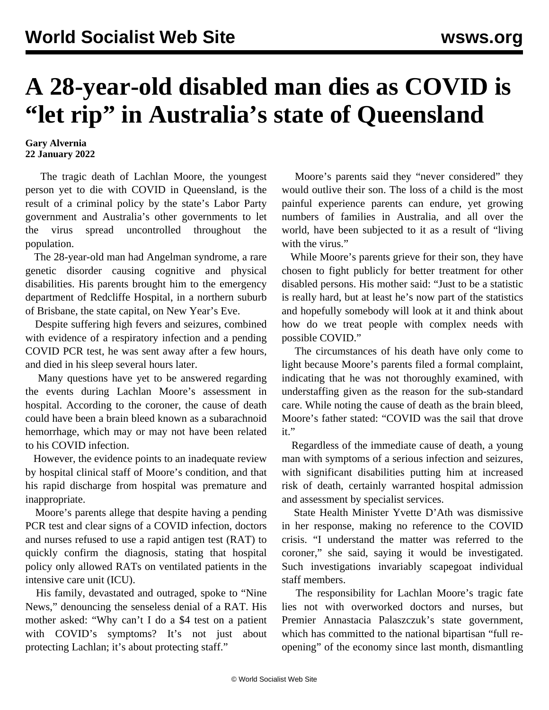## **A 28-year-old disabled man dies as COVID is "let rip" in Australia's state of Queensland**

**Gary Alvernia 22 January 2022**

 The tragic death of Lachlan Moore, the youngest person yet to die with COVID in Queensland, is the result of a criminal policy by the state's Labor Party government and Australia's other governments to let the virus spread uncontrolled throughout the population.

 The 28-year-old man had Angelman syndrome, a rare genetic disorder causing cognitive and physical disabilities. His parents brought him to the emergency department of Redcliffe Hospital, in a northern suburb of Brisbane, the state capital, on New Year's Eve.

 Despite suffering high fevers and seizures, combined with evidence of a respiratory infection and a pending COVID PCR test, he was sent away after a few hours, and died in his sleep several hours later.

 Many questions have yet to be answered regarding the events during Lachlan Moore's assessment in hospital. According to the coroner, the cause of death could have been a brain bleed known as a subarachnoid hemorrhage, which may or may not have been related to his COVID infection.

 However, the evidence points to an inadequate review by hospital clinical staff of Moore's condition, and that his rapid discharge from hospital was premature and inappropriate.

 Moore's parents allege that despite having a pending PCR test and clear signs of a COVID infection, doctors and nurses refused to use a rapid antigen test (RAT) to quickly confirm the diagnosis, stating that hospital policy only allowed RATs on ventilated patients in the intensive care unit (ICU).

 His family, devastated and outraged, spoke to "Nine News," denouncing the senseless denial of a RAT. His mother asked: "Why can't I do a \$4 test on a patient with COVID's symptoms? It's not just about protecting Lachlan; it's about protecting staff."

 Moore's parents said they "never considered" they would outlive their son. The loss of a child is the most painful experience parents can endure, yet growing numbers of families in Australia, and all over the world, have been subjected to it as a result of "living with the virus."

 While Moore's parents grieve for their son, they have chosen to fight publicly for better treatment for other disabled persons. His mother said: "Just to be a statistic is really hard, but at least he's now part of the statistics and hopefully somebody will look at it and think about how do we treat people with complex needs with possible COVID."

 The circumstances of his death have only come to light because Moore's parents filed a formal complaint, indicating that he was not thoroughly examined, with understaffing given as the reason for the sub-standard care. While noting the cause of death as the brain bleed, Moore's father stated: "COVID was the sail that drove it."

 Regardless of the immediate cause of death, a young man with symptoms of a serious infection and seizures, with significant disabilities putting him at increased risk of death, certainly warranted hospital admission and assessment by specialist services.

 State Health Minister Yvette D'Ath was dismissive in her response, making no reference to the COVID crisis. "I understand the matter was referred to the coroner," she said, saying it would be investigated. Such investigations invariably scapegoat individual staff members.

 The responsibility for Lachlan Moore's tragic fate lies not with overworked doctors and nurses, but Premier Annastacia Palaszczuk's state government, which has committed to the national bipartisan "full reopening" of the economy since last month, dismantling